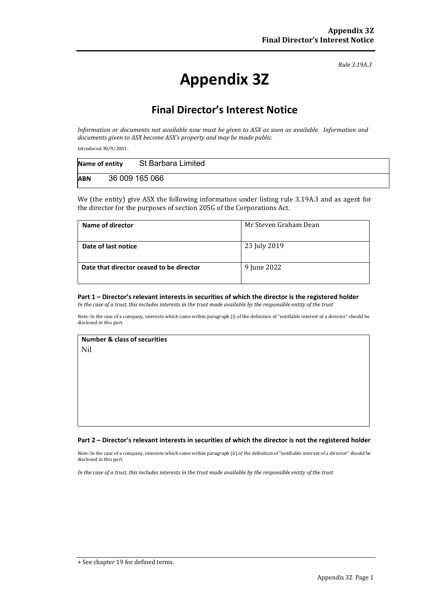*Rule 3.19A.3*

# **Appendix 3Z**

## **Final Director's Interest Notice**

*Information or documents not available now must be given to ASX as soon as available. Information and documents given to ASX become ASX's property and may be made public.*

Introduced 30/9/2001.

| Name of entity | St Barbara Limited |
|----------------|--------------------|
| <b>ABN</b>     | 36 009 165 066     |

We (the entity) give ASX the following information under listing rule 3.19A.3 and as agent for the director for the purposes of section 205G of the Corporations Act.

| Name of director                         | Mr Steven Graham Dean |
|------------------------------------------|-----------------------|
| Date of last notice                      | 23 July 2019          |
| Date that director ceased to be director | 9 June 2022           |

#### **Part 1 – Director's relevant interests in securities of which the director is the registered holder**

*In the case of a trust, this includes interests in the trust made available by the responsible entity of the trust*

Note: In the case of a company, interests which come within paragraph (i) of the definition of "notifiable interest of a director" should be disclosed in this part.

### **Number & class of securities**  Nil

#### **Part 2 – Director's relevant interests in securities of which the director is not the registered holder**

Note: In the case of a company, interests which come within paragraph (ii) of the definition of "notifiable interest of a director" should be disclosed in this part.

*In the case of a trust, this includes interests in the trust made available by the responsible entity of the trust*

+ See chapter 19 for defined terms.